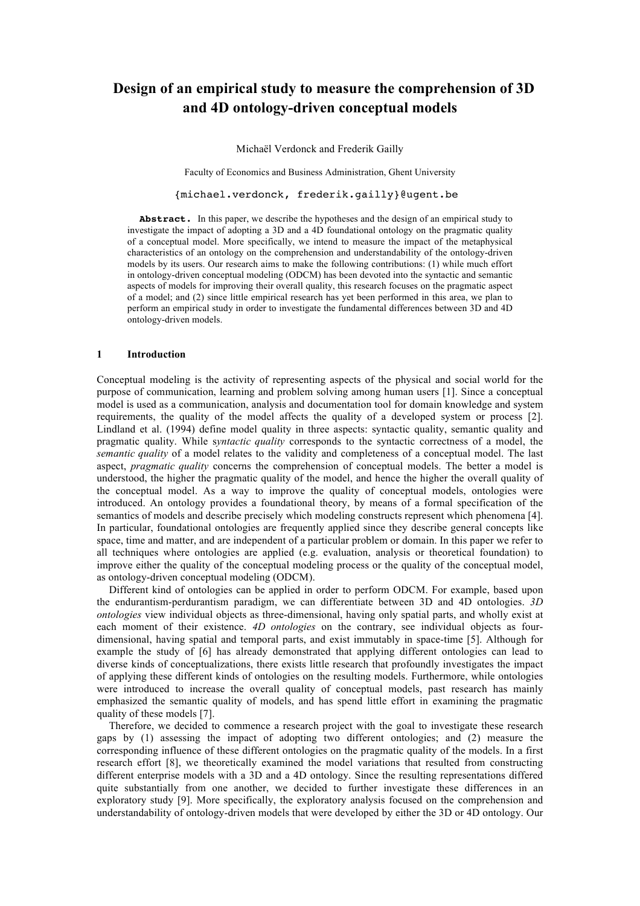# **Design of an empirical study to measure the comprehension of 3D and 4D ontology-driven conceptual models**

Michaël Verdonck and Frederik Gailly

Faculty of Economics and Business Administration, Ghent University

{michael.verdonck, frederik.gailly}@ugent.be

Abstract. In this paper, we describe the hypotheses and the design of an empirical study to investigate the impact of adopting a 3D and a 4D foundational ontology on the pragmatic quality of a conceptual model. More specifically, we intend to measure the impact of the metaphysical characteristics of an ontology on the comprehension and understandability of the ontology-driven models by its users. Our research aims to make the following contributions: (1) while much effort in ontology-driven conceptual modeling (ODCM) has been devoted into the syntactic and semantic aspects of models for improving their overall quality, this research focuses on the pragmatic aspect of a model; and (2) since little empirical research has yet been performed in this area, we plan to perform an empirical study in order to investigate the fundamental differences between 3D and 4D ontology-driven models.

#### **1 Introduction**

Conceptual modeling is the activity of representing aspects of the physical and social world for the purpose of communication, learning and problem solving among human users [1]. Since a conceptual model is used as a communication, analysis and documentation tool for domain knowledge and system requirements, the quality of the model affects the quality of a developed system or process [2]. Lindland et al. (1994) define model quality in three aspects: syntactic quality, semantic quality and pragmatic quality. While s*yntactic quality* corresponds to the syntactic correctness of a model, the *semantic quality* of a model relates to the validity and completeness of a conceptual model. The last aspect, *pragmatic quality* concerns the comprehension of conceptual models. The better a model is understood, the higher the pragmatic quality of the model, and hence the higher the overall quality of the conceptual model. As a way to improve the quality of conceptual models, ontologies were introduced. An ontology provides a foundational theory, by means of a formal specification of the semantics of models and describe precisely which modeling constructs represent which phenomena [4]. In particular, foundational ontologies are frequently applied since they describe general concepts like space, time and matter, and are independent of a particular problem or domain. In this paper we refer to all techniques where ontologies are applied (e.g. evaluation, analysis or theoretical foundation) to improve either the quality of the conceptual modeling process or the quality of the conceptual model, as ontology-driven conceptual modeling (ODCM).

Different kind of ontologies can be applied in order to perform ODCM. For example, based upon the endurantism-perdurantism paradigm, we can differentiate between 3D and 4D ontologies. *3D ontologies* view individual objects as three-dimensional, having only spatial parts, and wholly exist at each moment of their existence. *4D ontologies* on the contrary, see individual objects as fourdimensional, having spatial and temporal parts, and exist immutably in space-time [5]. Although for example the study of [6] has already demonstrated that applying different ontologies can lead to diverse kinds of conceptualizations, there exists little research that profoundly investigates the impact of applying these different kinds of ontologies on the resulting models. Furthermore, while ontologies were introduced to increase the overall quality of conceptual models, past research has mainly emphasized the semantic quality of models, and has spend little effort in examining the pragmatic quality of these models [7].

Therefore, we decided to commence a research project with the goal to investigate these research gaps by (1) assessing the impact of adopting two different ontologies; and (2) measure the corresponding influence of these different ontologies on the pragmatic quality of the models. In a first research effort [8], we theoretically examined the model variations that resulted from constructing different enterprise models with a 3D and a 4D ontology. Since the resulting representations differed quite substantially from one another, we decided to further investigate these differences in an exploratory study [9]. More specifically, the exploratory analysis focused on the comprehension and understandability of ontology-driven models that were developed by either the 3D or 4D ontology. Our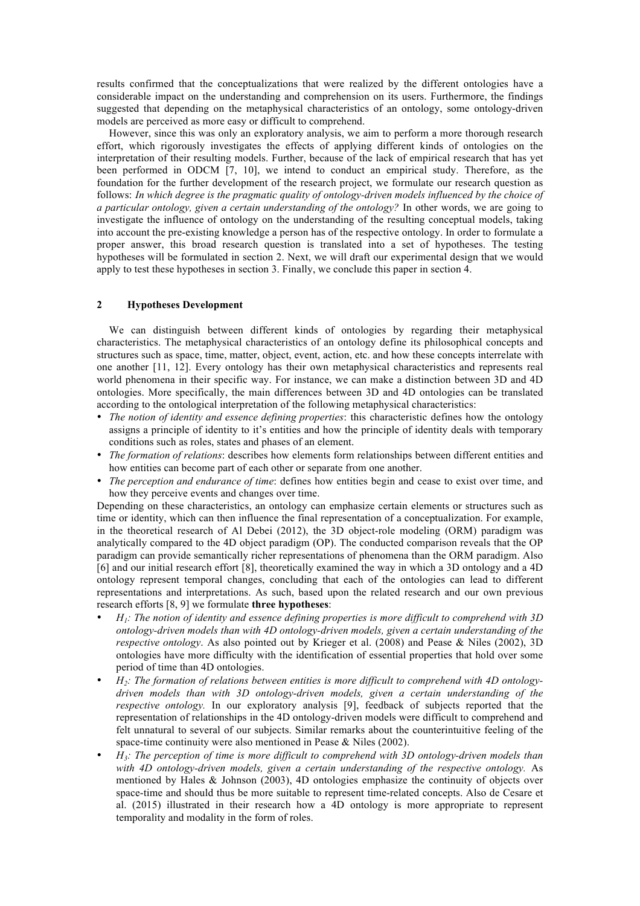results confirmed that the conceptualizations that were realized by the different ontologies have a considerable impact on the understanding and comprehension on its users. Furthermore, the findings suggested that depending on the metaphysical characteristics of an ontology, some ontology-driven models are perceived as more easy or difficult to comprehend.

However, since this was only an exploratory analysis, we aim to perform a more thorough research effort, which rigorously investigates the effects of applying different kinds of ontologies on the interpretation of their resulting models. Further, because of the lack of empirical research that has yet been performed in ODCM [7, 10], we intend to conduct an empirical study. Therefore, as the foundation for the further development of the research project, we formulate our research question as follows: *In which degree is the pragmatic quality of ontology-driven models influenced by the choice of a particular ontology, given a certain understanding of the ontology?* In other words, we are going to investigate the influence of ontology on the understanding of the resulting conceptual models, taking into account the pre-existing knowledge a person has of the respective ontology. In order to formulate a proper answer, this broad research question is translated into a set of hypotheses. The testing hypotheses will be formulated in section 2. Next, we will draft our experimental design that we would apply to test these hypotheses in section 3. Finally, we conclude this paper in section 4.

## **2 Hypotheses Development**

We can distinguish between different kinds of ontologies by regarding their metaphysical characteristics. The metaphysical characteristics of an ontology define its philosophical concepts and structures such as space, time, matter, object, event, action, etc. and how these concepts interrelate with one another [11, 12]. Every ontology has their own metaphysical characteristics and represents real world phenomena in their specific way. For instance, we can make a distinction between 3D and 4D ontologies. More specifically, the main differences between 3D and 4D ontologies can be translated according to the ontological interpretation of the following metaphysical characteristics:

- *The notion of identity and essence defining properties*: this characteristic defines how the ontology assigns a principle of identity to it's entities and how the principle of identity deals with temporary conditions such as roles, states and phases of an element.
- *The formation of relations*: describes how elements form relationships between different entities and how entities can become part of each other or separate from one another.
- *The perception and endurance of time*: defines how entities begin and cease to exist over time, and how they perceive events and changes over time.

Depending on these characteristics, an ontology can emphasize certain elements or structures such as time or identity, which can then influence the final representation of a conceptualization. For example, in the theoretical research of Al Debei (2012), the 3D object-role modeling (ORM) paradigm was analytically compared to the 4D object paradigm (OP). The conducted comparison reveals that the OP paradigm can provide semantically richer representations of phenomena than the ORM paradigm. Also [6] and our initial research effort [8], theoretically examined the way in which a 3D ontology and a 4D ontology represent temporal changes, concluding that each of the ontologies can lead to different representations and interpretations. As such, based upon the related research and our own previous research efforts [8, 9] we formulate **three hypotheses**:

- *H1: The notion of identity and essence defining properties is more difficult to comprehend with 3D ontology-driven models than with 4D ontology-driven models, given a certain understanding of the respective ontology*. As also pointed out by Krieger et al. (2008) and Pease & Niles (2002), 3D ontologies have more difficulty with the identification of essential properties that hold over some period of time than 4D ontologies.
- *H2: The formation of relations between entities is more difficult to comprehend with 4D ontologydriven models than with 3D ontology-driven models, given a certain understanding of the respective ontology.* In our exploratory analysis [9], feedback of subjects reported that the representation of relationships in the 4D ontology-driven models were difficult to comprehend and felt unnatural to several of our subjects. Similar remarks about the counterintuitive feeling of the space-time continuity were also mentioned in Pease & Niles (2002).
- *H3: The perception of time is more difficult to comprehend with 3D ontology-driven models than with 4D ontology-driven models, given a certain understanding of the respective ontology.* As mentioned by Hales & Johnson (2003), 4D ontologies emphasize the continuity of objects over space-time and should thus be more suitable to represent time-related concepts. Also de Cesare et al. (2015) illustrated in their research how a 4D ontology is more appropriate to represent temporality and modality in the form of roles.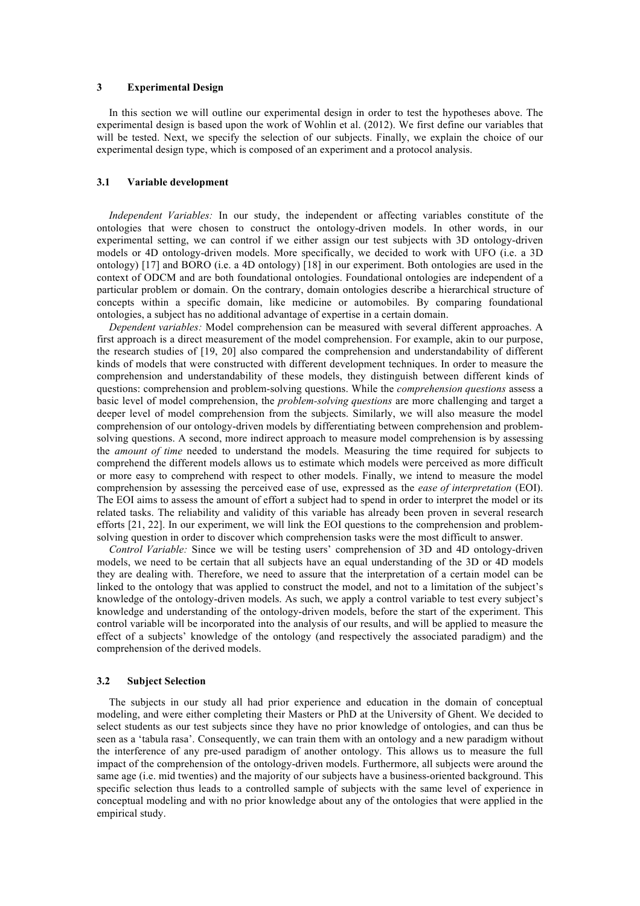## **3 Experimental Design**

In this section we will outline our experimental design in order to test the hypotheses above. The experimental design is based upon the work of Wohlin et al. (2012). We first define our variables that will be tested. Next, we specify the selection of our subjects. Finally, we explain the choice of our experimental design type, which is composed of an experiment and a protocol analysis.

#### **3.1 Variable development**

*Independent Variables:* In our study, the independent or affecting variables constitute of the ontologies that were chosen to construct the ontology-driven models. In other words, in our experimental setting, we can control if we either assign our test subjects with 3D ontology-driven models or 4D ontology-driven models. More specifically, we decided to work with UFO (i.e. a 3D ontology) [17] and BORO (i.e. a 4D ontology) [18] in our experiment. Both ontologies are used in the context of ODCM and are both foundational ontologies. Foundational ontologies are independent of a particular problem or domain. On the contrary, domain ontologies describe a hierarchical structure of concepts within a specific domain, like medicine or automobiles. By comparing foundational ontologies, a subject has no additional advantage of expertise in a certain domain.

*Dependent variables:* Model comprehension can be measured with several different approaches. A first approach is a direct measurement of the model comprehension. For example, akin to our purpose, the research studies of [19, 20] also compared the comprehension and understandability of different kinds of models that were constructed with different development techniques. In order to measure the comprehension and understandability of these models, they distinguish between different kinds of questions: comprehension and problem-solving questions. While the *comprehension questions* assess a basic level of model comprehension, the *problem-solving questions* are more challenging and target a deeper level of model comprehension from the subjects. Similarly, we will also measure the model comprehension of our ontology-driven models by differentiating between comprehension and problemsolving questions. A second, more indirect approach to measure model comprehension is by assessing the *amount of time* needed to understand the models. Measuring the time required for subjects to comprehend the different models allows us to estimate which models were perceived as more difficult or more easy to comprehend with respect to other models. Finally, we intend to measure the model comprehension by assessing the perceived ease of use, expressed as the *ease of interpretation* (EOI). The EOI aims to assess the amount of effort a subject had to spend in order to interpret the model or its related tasks. The reliability and validity of this variable has already been proven in several research efforts [21, 22]. In our experiment, we will link the EOI questions to the comprehension and problemsolving question in order to discover which comprehension tasks were the most difficult to answer.

*Control Variable:* Since we will be testing users' comprehension of 3D and 4D ontology-driven models, we need to be certain that all subjects have an equal understanding of the 3D or 4D models they are dealing with. Therefore, we need to assure that the interpretation of a certain model can be linked to the ontology that was applied to construct the model, and not to a limitation of the subject's knowledge of the ontology-driven models. As such, we apply a control variable to test every subject's knowledge and understanding of the ontology-driven models, before the start of the experiment. This control variable will be incorporated into the analysis of our results, and will be applied to measure the effect of a subjects' knowledge of the ontology (and respectively the associated paradigm) and the comprehension of the derived models.

#### **3.2 Subject Selection**

The subjects in our study all had prior experience and education in the domain of conceptual modeling, and were either completing their Masters or PhD at the University of Ghent. We decided to select students as our test subjects since they have no prior knowledge of ontologies, and can thus be seen as a 'tabula rasa'. Consequently, we can train them with an ontology and a new paradigm without the interference of any pre-used paradigm of another ontology. This allows us to measure the full impact of the comprehension of the ontology-driven models. Furthermore, all subjects were around the same age (i.e. mid twenties) and the majority of our subjects have a business-oriented background. This specific selection thus leads to a controlled sample of subjects with the same level of experience in conceptual modeling and with no prior knowledge about any of the ontologies that were applied in the empirical study.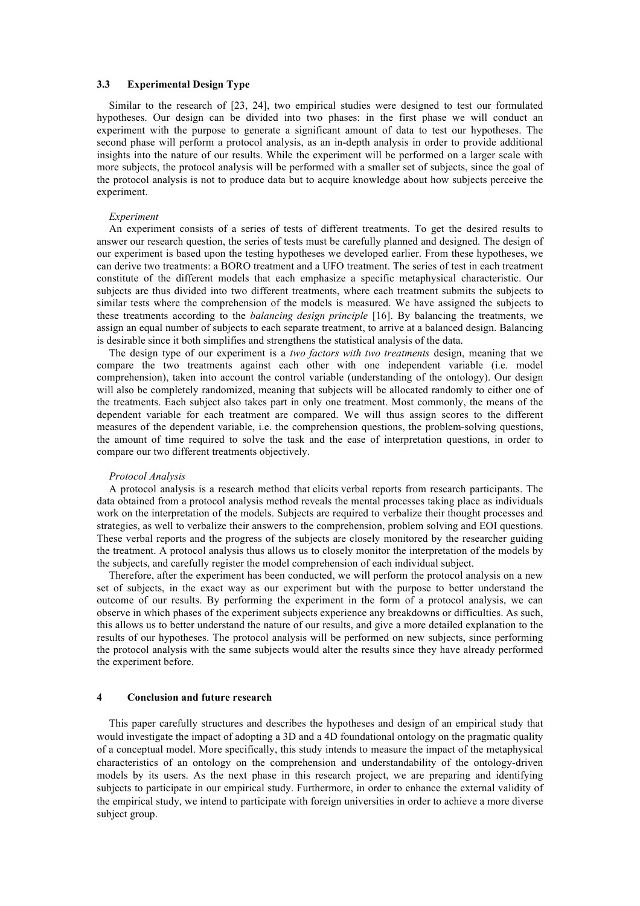#### **3.3 Experimental Design Type**

Similar to the research of [23, 24], two empirical studies were designed to test our formulated hypotheses. Our design can be divided into two phases: in the first phase we will conduct an experiment with the purpose to generate a significant amount of data to test our hypotheses. The second phase will perform a protocol analysis, as an in-depth analysis in order to provide additional insights into the nature of our results. While the experiment will be performed on a larger scale with more subjects, the protocol analysis will be performed with a smaller set of subjects, since the goal of the protocol analysis is not to produce data but to acquire knowledge about how subjects perceive the experiment.

#### *Experiment*

An experiment consists of a series of tests of different treatments. To get the desired results to answer our research question, the series of tests must be carefully planned and designed. The design of our experiment is based upon the testing hypotheses we developed earlier. From these hypotheses, we can derive two treatments: a BORO treatment and a UFO treatment. The series of test in each treatment constitute of the different models that each emphasize a specific metaphysical characteristic. Our subjects are thus divided into two different treatments, where each treatment submits the subjects to similar tests where the comprehension of the models is measured. We have assigned the subjects to these treatments according to the *balancing design principle* [16]. By balancing the treatments, we assign an equal number of subjects to each separate treatment, to arrive at a balanced design. Balancing is desirable since it both simplifies and strengthens the statistical analysis of the data.

The design type of our experiment is a *two factors with two treatments* design, meaning that we compare the two treatments against each other with one independent variable (i.e. model comprehension), taken into account the control variable (understanding of the ontology). Our design will also be completely randomized, meaning that subjects will be allocated randomly to either one of the treatments. Each subject also takes part in only one treatment. Most commonly, the means of the dependent variable for each treatment are compared. We will thus assign scores to the different measures of the dependent variable, i.e. the comprehension questions, the problem-solving questions, the amount of time required to solve the task and the ease of interpretation questions, in order to compare our two different treatments objectively.

#### *Protocol Analysis*

A protocol analysis is a research method that elicits verbal reports from research participants. The data obtained from a protocol analysis method reveals the mental processes taking place as individuals work on the interpretation of the models. Subjects are required to verbalize their thought processes and strategies, as well to verbalize their answers to the comprehension, problem solving and EOI questions. These verbal reports and the progress of the subjects are closely monitored by the researcher guiding the treatment. A protocol analysis thus allows us to closely monitor the interpretation of the models by the subjects, and carefully register the model comprehension of each individual subject.

Therefore, after the experiment has been conducted, we will perform the protocol analysis on a new set of subjects, in the exact way as our experiment but with the purpose to better understand the outcome of our results. By performing the experiment in the form of a protocol analysis, we can observe in which phases of the experiment subjects experience any breakdowns or difficulties. As such, this allows us to better understand the nature of our results, and give a more detailed explanation to the results of our hypotheses. The protocol analysis will be performed on new subjects, since performing the protocol analysis with the same subjects would alter the results since they have already performed the experiment before.

#### **4 Conclusion and future research**

This paper carefully structures and describes the hypotheses and design of an empirical study that would investigate the impact of adopting a 3D and a 4D foundational ontology on the pragmatic quality of a conceptual model. More specifically, this study intends to measure the impact of the metaphysical characteristics of an ontology on the comprehension and understandability of the ontology-driven models by its users. As the next phase in this research project, we are preparing and identifying subjects to participate in our empirical study. Furthermore, in order to enhance the external validity of the empirical study, we intend to participate with foreign universities in order to achieve a more diverse subject group.